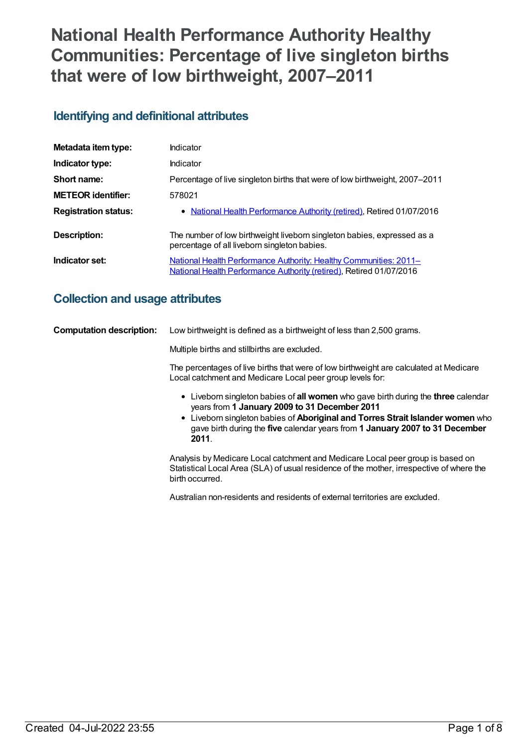# **National Health Performance Authority Healthy Communities: Percentage of live singleton births that were of low birthweight, 2007–2011**

# **Identifying and definitional attributes**

| Metadata item type:         | Indicator                                                                                                                                |
|-----------------------------|------------------------------------------------------------------------------------------------------------------------------------------|
| Indicator type:             | Indicator                                                                                                                                |
| Short name:                 | Percentage of live singleton births that were of low birthweight, 2007–2011                                                              |
| <b>METEOR identifier:</b>   | 578021                                                                                                                                   |
| <b>Registration status:</b> | • National Health Performance Authority (retired), Retired 01/07/2016                                                                    |
| Description:                | The number of low birthweight liveborn singleton babies, expressed as a<br>percentage of all liveborn singleton babies.                  |
| Indicator set:              | National Health Performance Authority: Healthy Communities: 2011-<br>National Health Performance Authority (retired), Retired 01/07/2016 |

# **Collection and usage attributes**

| <b>Computation description:</b> | Low birthweight is defined as a birthweight of less than 2,500 grams.                                                                                                                                                                                                                                       |
|---------------------------------|-------------------------------------------------------------------------------------------------------------------------------------------------------------------------------------------------------------------------------------------------------------------------------------------------------------|
|                                 | Multiple births and stillbirths are excluded.                                                                                                                                                                                                                                                               |
|                                 | The percentages of live births that were of low birthweight are calculated at Medicare<br>Local catchment and Medicare Local peer group levels for:                                                                                                                                                         |
|                                 | Liveborn singleton babies of all women who gave birth during the three calendar<br>years from 1 January 2009 to 31 December 2011<br>• Liveborn singleton babies of Aboriginal and Torres Strait Islander women who<br>gave birth during the five calendar years from 1 January 2007 to 31 December<br>2011. |
|                                 | Analysis by Medicare Local catchment and Medicare Local peer group is based on<br>Statistical Local Area (SLA) of usual residence of the mother, irrespective of where the<br>birth occurred.                                                                                                               |

Australian non-residents and residents of external territories are excluded.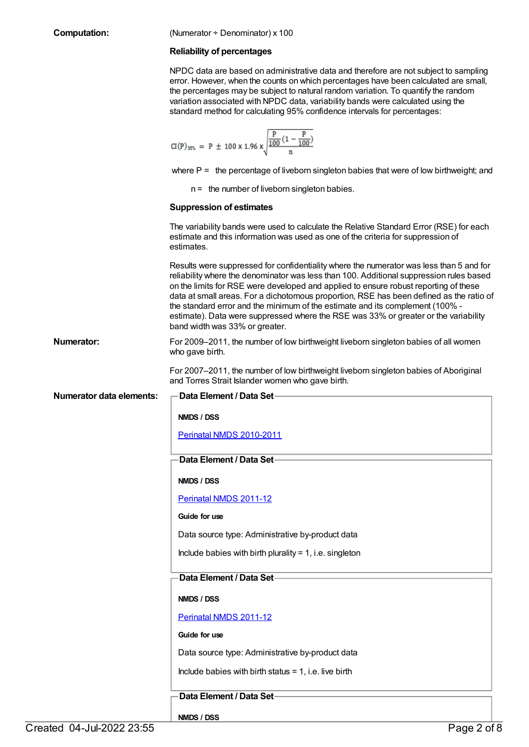**Computation:** (Numerator ÷ Denominator) x 100

### **Reliability of percentages**

NPDC data are based on administrative data and therefore are not subject to sampling error. However, when the counts on which percentages have been calculated are small, the percentages may be subject to natural random variation. To quantify the random variation associated with NPDC data, variability bands were calculated using the standard method for calculating 95% confidence intervals for percentages:

$$
CI(P)_{55\%} = P \pm 100 \times 1.96 \times \sqrt{\frac{P}{\frac{100}{100}(1 - \frac{P}{100})}}
$$

where  $P =$  the percentage of liveborn singleton babies that were of low birthweight; and

n = the number of liveborn singleton babies.

#### **Suppression of estimates**

The variability bands were used to calculate the Relative Standard Error (RSE) for each estimate and this information was used as one of the criteria for suppression of estimates.

Results were suppressed for confidentiality where the numerator was less than 5 and for reliability where the denominator was less than 100. Additional suppression rules based on the limits for RSE were developed and applied to ensure robust reporting of these data at small areas. For a dichotomous proportion, RSE has been defined as the ratio of the standard error and the minimum of the estimate and its complement (100% estimate). Data were suppressed where the RSE was 33% or greater or the variability band width was 33% or greater.

**Numerator:** For 2009–2011, the number of low birthweight liveborn singleton babies of all women who gave birth.

> For 2007–2011, the number of low birthweight liveborn singleton babies of Aboriginal and Torres Strait Islander women who gave birth.

# **Data Element / Data Set-**

**NMDS / DSS**

Perinatal NMDS [2010-2011](https://meteor.aihw.gov.au/content/363256)

## **Data Element / Data Set**

**NMDS / DSS**

[Perinatal](https://meteor.aihw.gov.au/content/426735) NMDS 2011-12

#### **Guide for use**

Data source type: Administrative by-product data

Include babies with birth plurality  $= 1$ , i.e. singleton

## **Data Element / Data Set**

## **NMDS / DSS**

[Perinatal](https://meteor.aihw.gov.au/content/426735) NMDS 2011-12

**Guide for use**

**NMDS / DSS**

Data source type: Administrative by-product data

Include babies with birth status  $= 1$ , i.e. live birth

# **Data Element / Data Set**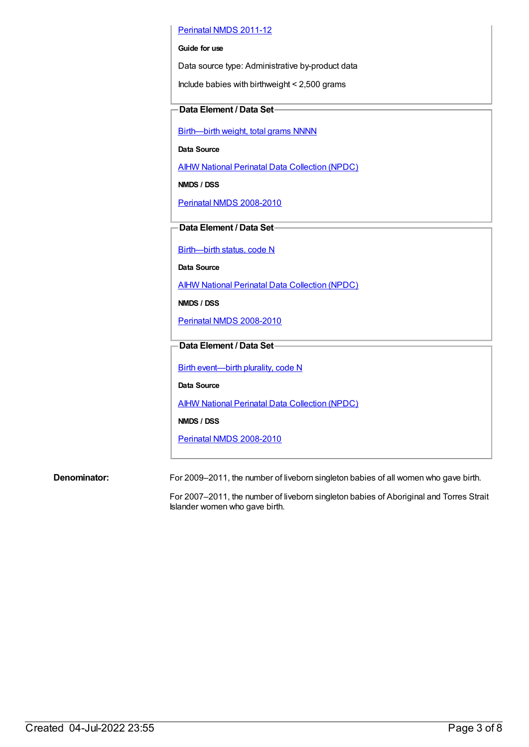## [Perinatal](https://meteor.aihw.gov.au/content/426735) NMDS 2011-12

### **Guide for use**

Data source type: Administrative by-product data

Include babies with birthweight < 2,500 grams

# **Data Element / Data Set**

[Birth—birth](https://meteor.aihw.gov.au/content/269938) weight, total grams NNNN

**Data Source**

AIHW National Perinatal Data [Collection](https://meteor.aihw.gov.au/content/392479) (NPDC)

**NMDS / DSS**

Perinatal NMDS [2008-2010](https://meteor.aihw.gov.au/content/362313)

**Data Element / Data Set**

[Birth—birth](https://meteor.aihw.gov.au/content/269949) status, code N

**Data Source**

AIHW National Perinatal Data [Collection](https://meteor.aihw.gov.au/content/392479) (NPDC)

**NMDS / DSS**

Perinatal NMDS [2008-2010](https://meteor.aihw.gov.au/content/362313)

# **Data Element / Data Set**

Birth [event—birth](https://meteor.aihw.gov.au/content/269994) plurality, code N

**Data Source**

AIHW National Perinatal Data [Collection](https://meteor.aihw.gov.au/content/392479) (NPDC)

**NMDS / DSS**

Perinatal NMDS [2008-2010](https://meteor.aihw.gov.au/content/362313)

**Denominator:** For 2009–2011, the number of liveborn singleton babies of all women who gave birth.

For 2007–2011, the number of liveborn singleton babies of Aboriginal and Torres Strait Islander women who gave birth.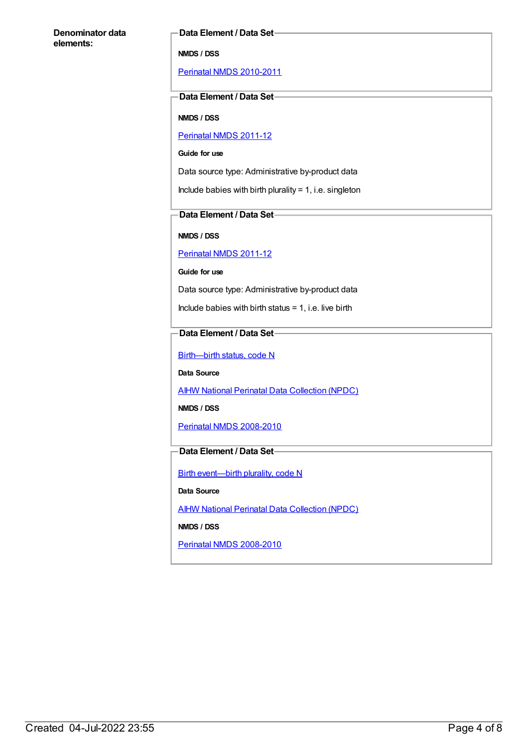#### **Data Element / Data Set**

**NMDS / DSS**

Perinatal NMDS [2010-2011](https://meteor.aihw.gov.au/content/363256)

## **Data Element / Data Set**

**NMDS / DSS**

# [Perinatal](https://meteor.aihw.gov.au/content/426735) NMDS 2011-12

**Guide for use**

Data source type: Administrative by-product data

Include babies with birth plurality =  $1$ , i.e. singleton

# **Data Element / Data Set**

**NMDS / DSS**

[Perinatal](https://meteor.aihw.gov.au/content/426735) NMDS 2011-12

**Guide for use**

Data source type: Administrative by-product data

Include babies with birth status  $= 1$ , i.e. live birth

# **Data Element / Data Set**

[Birth—birth](https://meteor.aihw.gov.au/content/269949) status, code N

**Data Source**

AIHW National Perinatal Data [Collection](https://meteor.aihw.gov.au/content/392479) (NPDC)

**NMDS / DSS**

Perinatal NMDS [2008-2010](https://meteor.aihw.gov.au/content/362313)

# **Data Element / Data Set**

Birth [event—birth](https://meteor.aihw.gov.au/content/269994) plurality, code N

**Data Source**

**AIHW National Perinatal Data [Collection](https://meteor.aihw.gov.au/content/392479) (NPDC)** 

**NMDS / DSS**

Perinatal NMDS [2008-2010](https://meteor.aihw.gov.au/content/362313)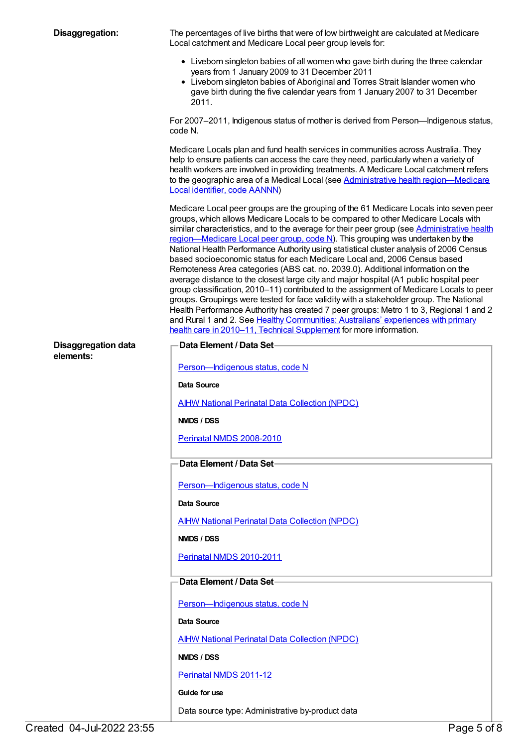| Disaggregation:            | The percentages of live births that were of low birthweight are calculated at Medicare<br>Local catchment and Medicare Local peer group levels for:                                                                                                                                                                                                                                                                                                                                                                                                                                                                                                                                                                                                                                                                                                                                                                                                                                                                                                                                                                                                        |
|----------------------------|------------------------------------------------------------------------------------------------------------------------------------------------------------------------------------------------------------------------------------------------------------------------------------------------------------------------------------------------------------------------------------------------------------------------------------------------------------------------------------------------------------------------------------------------------------------------------------------------------------------------------------------------------------------------------------------------------------------------------------------------------------------------------------------------------------------------------------------------------------------------------------------------------------------------------------------------------------------------------------------------------------------------------------------------------------------------------------------------------------------------------------------------------------|
|                            | • Liveborn singleton babies of all women who gave birth during the three calendar<br>years from 1 January 2009 to 31 December 2011<br>• Liveborn singleton babies of Aboriginal and Torres Strait Islander women who<br>gave birth during the five calendar years from 1 January 2007 to 31 December                                                                                                                                                                                                                                                                                                                                                                                                                                                                                                                                                                                                                                                                                                                                                                                                                                                       |
|                            | 2011.                                                                                                                                                                                                                                                                                                                                                                                                                                                                                                                                                                                                                                                                                                                                                                                                                                                                                                                                                                                                                                                                                                                                                      |
|                            | For 2007-2011, Indigenous status of mother is derived from Person-Indigenous status,<br>code N.                                                                                                                                                                                                                                                                                                                                                                                                                                                                                                                                                                                                                                                                                                                                                                                                                                                                                                                                                                                                                                                            |
|                            | Medicare Locals plan and fund health services in communities across Australia. They<br>help to ensure patients can access the care they need, particularly when a variety of<br>health workers are involved in providing treatments. A Medicare Local catchment refers<br>to the geographic area of a Medical Local (see Administrative health region-Medicare<br>Local identifier, code AANNN)                                                                                                                                                                                                                                                                                                                                                                                                                                                                                                                                                                                                                                                                                                                                                            |
|                            | Medicare Local peer groups are the grouping of the 61 Medicare Locals into seven peer<br>groups, which allows Medicare Locals to be compared to other Medicare Locals with<br>similar characteristics, and to the average for their peer group (see Administrative health<br>region—Medicare Local peer group, code N). This grouping was undertaken by the<br>National Health Performance Authority using statistical cluster analysis of 2006 Census<br>based socioeconomic status for each Medicare Local and, 2006 Census based<br>Remoteness Area categories (ABS cat. no. 2039.0). Additional information on the<br>average distance to the closest large city and major hospital (A1 public hospital peer<br>group classification, 2010-11) contributed to the assignment of Medicare Locals to peer<br>groups. Groupings were tested for face validity with a stakeholder group. The National<br>Health Performance Authority has created 7 peer groups: Metro 1 to 3, Regional 1 and 2<br>and Rural 1 and 2. See Healthy Communities: Australians' experiences with primary<br>health care in 2010-11, Technical Supplement for more information. |
| <b>Disaggregation data</b> | Data Element / Data Set-                                                                                                                                                                                                                                                                                                                                                                                                                                                                                                                                                                                                                                                                                                                                                                                                                                                                                                                                                                                                                                                                                                                                   |
| elements:                  | Person-Indigenous status, code N                                                                                                                                                                                                                                                                                                                                                                                                                                                                                                                                                                                                                                                                                                                                                                                                                                                                                                                                                                                                                                                                                                                           |
|                            | Data Source                                                                                                                                                                                                                                                                                                                                                                                                                                                                                                                                                                                                                                                                                                                                                                                                                                                                                                                                                                                                                                                                                                                                                |
|                            | <b>AIHW National Perinatal Data Collection (NPDC)</b>                                                                                                                                                                                                                                                                                                                                                                                                                                                                                                                                                                                                                                                                                                                                                                                                                                                                                                                                                                                                                                                                                                      |
|                            | NMDS / DSS                                                                                                                                                                                                                                                                                                                                                                                                                                                                                                                                                                                                                                                                                                                                                                                                                                                                                                                                                                                                                                                                                                                                                 |
|                            | Perinatal NMDS 2008-2010                                                                                                                                                                                                                                                                                                                                                                                                                                                                                                                                                                                                                                                                                                                                                                                                                                                                                                                                                                                                                                                                                                                                   |
|                            |                                                                                                                                                                                                                                                                                                                                                                                                                                                                                                                                                                                                                                                                                                                                                                                                                                                                                                                                                                                                                                                                                                                                                            |
|                            | Data Element / Data Set-                                                                                                                                                                                                                                                                                                                                                                                                                                                                                                                                                                                                                                                                                                                                                                                                                                                                                                                                                                                                                                                                                                                                   |
|                            | Person-Indigenous status, code N                                                                                                                                                                                                                                                                                                                                                                                                                                                                                                                                                                                                                                                                                                                                                                                                                                                                                                                                                                                                                                                                                                                           |
|                            | Data Source                                                                                                                                                                                                                                                                                                                                                                                                                                                                                                                                                                                                                                                                                                                                                                                                                                                                                                                                                                                                                                                                                                                                                |
|                            | <b>AIHW National Perinatal Data Collection (NPDC)</b>                                                                                                                                                                                                                                                                                                                                                                                                                                                                                                                                                                                                                                                                                                                                                                                                                                                                                                                                                                                                                                                                                                      |
|                            | NMDS / DSS                                                                                                                                                                                                                                                                                                                                                                                                                                                                                                                                                                                                                                                                                                                                                                                                                                                                                                                                                                                                                                                                                                                                                 |
|                            | Perinatal NMDS 2010-2011                                                                                                                                                                                                                                                                                                                                                                                                                                                                                                                                                                                                                                                                                                                                                                                                                                                                                                                                                                                                                                                                                                                                   |
|                            | Data Element / Data Set-                                                                                                                                                                                                                                                                                                                                                                                                                                                                                                                                                                                                                                                                                                                                                                                                                                                                                                                                                                                                                                                                                                                                   |
|                            | Person-Indigenous status, code N                                                                                                                                                                                                                                                                                                                                                                                                                                                                                                                                                                                                                                                                                                                                                                                                                                                                                                                                                                                                                                                                                                                           |
|                            | Data Source                                                                                                                                                                                                                                                                                                                                                                                                                                                                                                                                                                                                                                                                                                                                                                                                                                                                                                                                                                                                                                                                                                                                                |
|                            |                                                                                                                                                                                                                                                                                                                                                                                                                                                                                                                                                                                                                                                                                                                                                                                                                                                                                                                                                                                                                                                                                                                                                            |
|                            | <b>AIHW National Perinatal Data Collection (NPDC)</b><br>NMDS / DSS                                                                                                                                                                                                                                                                                                                                                                                                                                                                                                                                                                                                                                                                                                                                                                                                                                                                                                                                                                                                                                                                                        |
|                            |                                                                                                                                                                                                                                                                                                                                                                                                                                                                                                                                                                                                                                                                                                                                                                                                                                                                                                                                                                                                                                                                                                                                                            |
|                            | Perinatal NMDS 2011-12                                                                                                                                                                                                                                                                                                                                                                                                                                                                                                                                                                                                                                                                                                                                                                                                                                                                                                                                                                                                                                                                                                                                     |
|                            | Guide for use<br>Data source type: Administrative by-product data                                                                                                                                                                                                                                                                                                                                                                                                                                                                                                                                                                                                                                                                                                                                                                                                                                                                                                                                                                                                                                                                                          |
|                            |                                                                                                                                                                                                                                                                                                                                                                                                                                                                                                                                                                                                                                                                                                                                                                                                                                                                                                                                                                                                                                                                                                                                                            |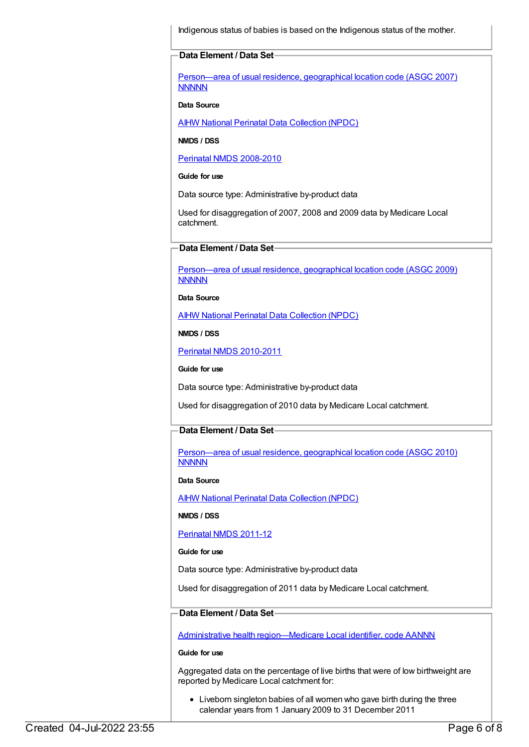Indigenous status of babies is based on the Indigenous status of the mother.

#### **Data Element / Data Set**

[Person—area](https://meteor.aihw.gov.au/content/362291) of usual residence, geographical location code (ASGC 2007) **NNNNN** 

#### **Data Source**

AIHW National Perinatal Data [Collection](https://meteor.aihw.gov.au/content/392479) (NPDC)

**NMDS / DSS**

Perinatal NMDS [2008-2010](https://meteor.aihw.gov.au/content/362313)

**Guide for use**

Data source type: Administrative by-product data

Used for disaggregation of 2007, 2008 and 2009 data by Medicare Local catchment.

# **Data Element / Data Set**

[Person—area](https://meteor.aihw.gov.au/content/386783) of usual residence, geographical location code (ASGC 2009) **NNNNN** 

**Data Source**

AIHW National Perinatal Data [Collection](https://meteor.aihw.gov.au/content/392479) (NPDC)

**NMDS / DSS**

Perinatal NMDS [2010-2011](https://meteor.aihw.gov.au/content/363256)

**Guide for use**

Data source type: Administrative by-product data

Used for disaggregation of 2010 data by Medicare Local catchment.

#### **Data Element / Data Set**

[Person—area](https://meteor.aihw.gov.au/content/426285) of usual residence, geographical location code (ASGC 2010) **NNNNN** 

**Data Source**

**AIHW National Perinatal Data [Collection](https://meteor.aihw.gov.au/content/392479) (NPDC)** 

**NMDS / DSS**

[Perinatal](https://meteor.aihw.gov.au/content/426735) NMDS 2011-12

#### **Guide for use**

Data source type: Administrative by-product data

Used for disaggregation of 2011 data by Medicare Local catchment.

# **Data Element / Data Set**

Administrative health [region—Medicare](https://meteor.aihw.gov.au/content/513288) Local identifier, code AANNN

**Guide for use**

Aggregated data on the percentage of live births that were of low birthweight are reported by Medicare Local catchment for:

Liveborn singleton babies of all women who gave birth during the three calendar years from 1 January 2009 to 31 December 2011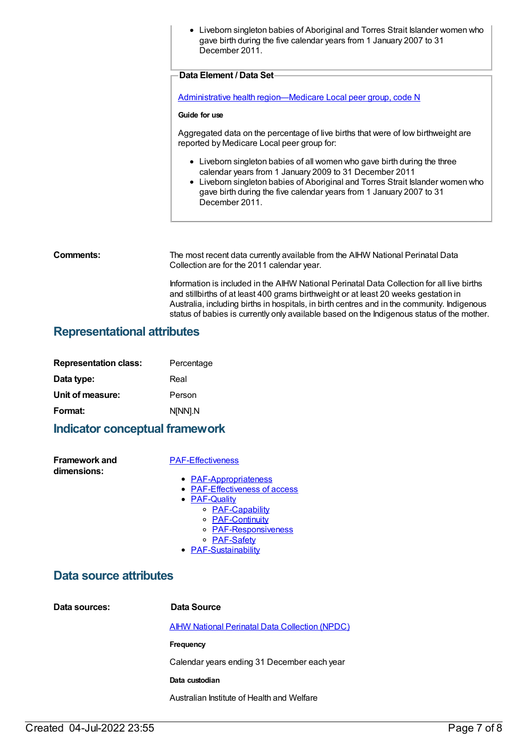• Liveborn singleton babies of Aboriginal and Torres Strait Islander women who gave birth during the five calendar years from 1 January 2007 to 31 December 2011. **Data Element / Data Set** Administrative health [region—Medicare](https://meteor.aihw.gov.au/content/550733) Local peer group, code N **Guide for use** Aggregated data on the percentage of live births that were of low birthweight are reported by Medicare Local peer group for: Liveborn singleton babies of all women who gave birth during the three calendar years from 1 January 2009 to 31 December 2011 Liveborn singleton babies of Aboriginal and Torres Strait Islander women who gave birth during the five calendar years from 1 January 2007 to 31

**Comments:** The most recent data currently available from the AIHW National Perinatal Data Collection are for the 2011 calendar year.

December 2011.

Information is included in the AIHW National Perinatal Data Collection for all live births and stillbirths of at least 400 grams birthweight or at least 20 weeks gestation in Australia, including births in hospitals, in birth centres and in the community. Indigenous status of babies is currently only available based on the Indigenous status of the mother.

# **Representational attributes**

| <b>Representation class:</b> | Percentage |
|------------------------------|------------|
| Data type:                   | Real       |
| Unit of measure:             | Person     |
| Format:                      | N[NN].N    |

# **Indicator conceptual framework**

**Framework and dimensions:**

#### [PAF-Effectiveness](https://meteor.aihw.gov.au/content/554925)

- [PAF-Appropriateness](https://meteor.aihw.gov.au/content/554929)
	- [PAF-Effectiveness](https://meteor.aihw.gov.au/content/554928) of access
	- [PAF-Quality](https://meteor.aihw.gov.au/content/554930)
		- o [PAF-Capability](https://meteor.aihw.gov.au/content/554934)
		- [PAF-Continuity](https://meteor.aihw.gov.au/content/554935)
		- [PAF-Responsiveness](https://meteor.aihw.gov.au/content/554933)
		- [PAF-Safety](https://meteor.aihw.gov.au/content/554932)
	- [PAF-Sustainability](https://meteor.aihw.gov.au/content/554931)

# **Data source attributes**

**Data sources: Data Source**

AIHW National Perinatal Data [Collection](https://meteor.aihw.gov.au/content/392479) (NPDC)

**Frequency**

Calendar years ending 31 December each year

**Data custodian**

Australian Institute of Health and Welfare